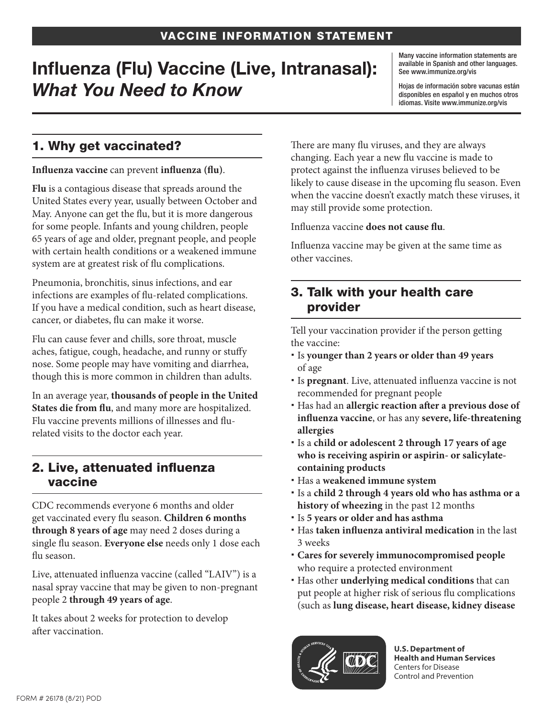# Influenza (Flu) Vaccine (Live, Intranasal): *What You Need to Know*

Many vaccine information statements are available in Spanish and other languages. See www.immunize.org/vis

Hojas de información sobre vacunas están disponibles en español y en muchos otros idiomas. Visite www.immunize.org/vis

## 1. Why get vaccinated?

#### **Influenza vaccine** can prevent **influenza (flu)**.

**Flu** is a contagious disease that spreads around the United States every year, usually between October and May. Anyone can get the flu, but it is more dangerous for some people. Infants and young children, people 65 years of age and older, pregnant people, and people with certain health conditions or a weakened immune system are at greatest risk of flu complications.

Pneumonia, bronchitis, sinus infections, and ear infections are examples of flu-related complications. If you have a medical condition, such as heart disease, cancer, or diabetes, flu can make it worse.

Flu can cause fever and chills, sore throat, muscle aches, fatigue, cough, headache, and runny or stuffy nose. Some people may have vomiting and diarrhea, though this is more common in children than adults.

In an average year, **thousands of people in the United States die from flu**, and many more are hospitalized. Flu vaccine prevents millions of illnesses and flurelated visits to the doctor each year.

#### 2. Live, attenuated influenza vaccine

CDC recommends everyone 6 months and older get vaccinated every flu season. **Children 6 months through 8 years of age** may need 2 doses during a single flu season. **Everyone else** needs only 1 dose each flu season.

Live, attenuated influenza vaccine (called "LAIV") is a nasal spray vaccine that may be given to non-pregnant people 2 **through 49 years of age**.

It takes about 2 weeks for protection to develop after vaccination.

There are many flu viruses, and they are always changing. Each year a new flu vaccine is made to protect against the influenza viruses believed to be likely to cause disease in the upcoming flu season. Even when the vaccine doesn't exactly match these viruses, it may still provide some protection.

Influenza vaccine **does not cause flu**.

Influenza vaccine may be given at the same time as other vaccines.

### 3. Talk with your health care provider

Tell your vaccination provider if the person getting the vaccine:

- Is **younger than 2 years or older than 49 years**  of age
- Is **pregnant**. Live, attenuated influenza vaccine is not recommended for pregnant people
- Has had an **allergic reaction after a previous dose of influenza vaccine**, or has any **severe, life-threatening allergies**
- Is a **child or adolescent 2 through 17 years of age who is receiving aspirin or aspirin- or salicylatecontaining products**
- Has a **weakened immune system**
- Is a **child 2 through 4 years old who has asthma or a history of wheezing** in the past 12 months
- Is **5 years or older and has asthma**
- Has **taken influenza antiviral medication** in the last 3 weeks
- **Cares for severely immunocompromised people**  who require a protected environment
- Has other **underlying medical conditions** that can put people at higher risk of serious flu complications (such as **lung disease, heart disease, kidney disease**



**U.S. Department of Health and Human Services**  Centers for Disease Control and Prevention